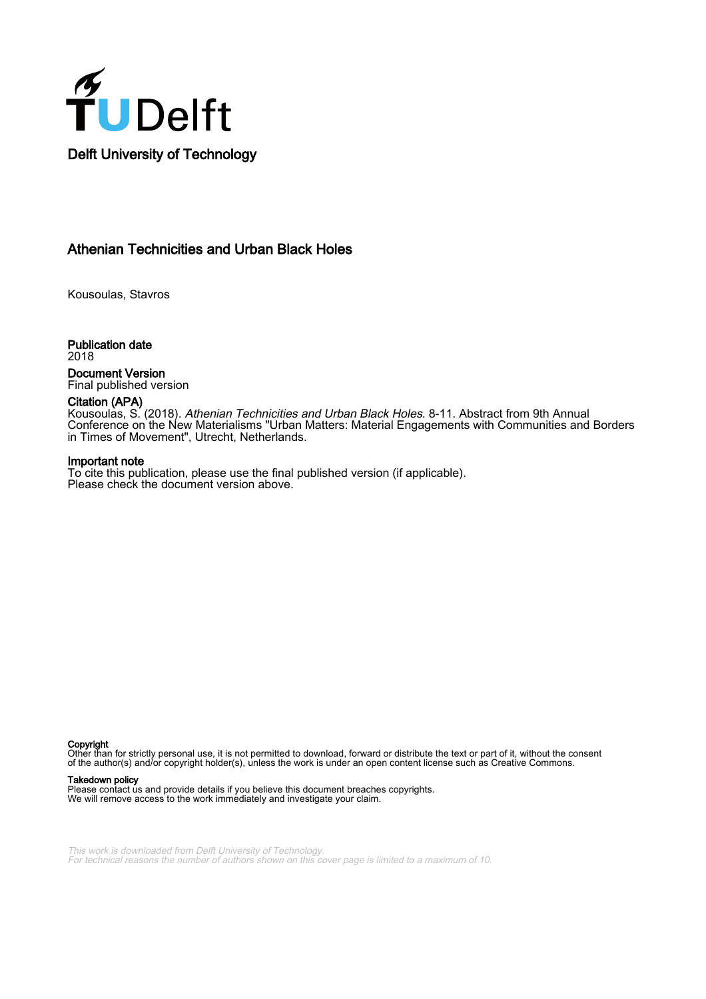

# Athenian Technicities and Urban Black Holes

Kousoulas, Stavros

Publication date 2018 Document Version Final published version

## Citation (APA)

Kousoulas, S. (2018). *Athenian Technicities and Urban Black Holes*. 8-11. Abstract from 9th Annual Conference on the New Materialisms "Urban Matters: Material Engagements with Communities and Borders in Times of Movement", Utrecht, Netherlands.

### Important note

To cite this publication, please use the final published version (if applicable). Please check the document version above.

Copyright

Other than for strictly personal use, it is not permitted to download, forward or distribute the text or part of it, without the consent of the author(s) and/or copyright holder(s), unless the work is under an open content license such as Creative Commons.

#### Takedown policy

Please contact us and provide details if you believe this document breaches copyrights. We will remove access to the work immediately and investigate your claim.

This work is downloaded from Delft University of Technology. For technical reasons the number of authors shown on this cover page is limited to a maximum of 10.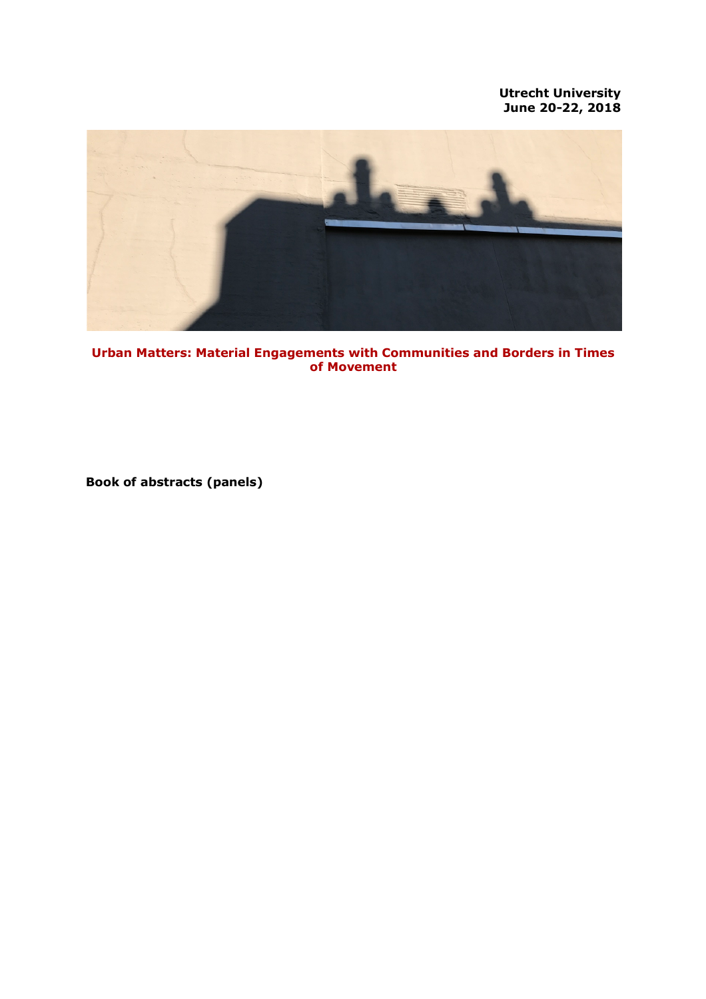**Utrecht University June 20-22, 2018**



**Urban Matters: Material Engagements with Communities and Borders in Times of Movement**

**Book of abstracts (panels)**